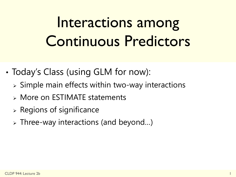# Interactions among Continuous Predictors

- Today's Class (using GLM for now):
	- $\triangleright$  Simple main effects within two-way interactions
	- More on ESTIMATE statements
	- $\triangleright$  Regions of significance
	- Three-way interactions (and beyond…)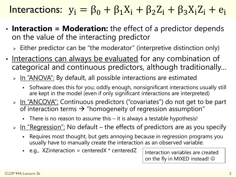#### Interactions:  $y_i = \beta_0 + \beta_1 X_i + \beta_2 Z_i + \beta_3 X_i Z_i + e_i$

- **Interaction = Moderation:** the effect of a predictor depends on the value of the interacting predictor
	- $\triangleright$  Either predictor can be "the moderator" (interpretive distinction only)
- Interactions can always be evaluated for any combination of categorical and continuous predictors, although traditionally…
	- > In "ANOVA": By default, all possible interactions are estimated
		- Software does this for you; oddly enough, nonsignificant interactions usually still are kept in the model (even if only significant interactions are interpreted)
	- > In "ANCOVA": Continuous predictors ("covariates") do not get to be part of interaction terms  $\rightarrow$  "homogeneity of regression assumption"
		- There is no reason to assume this it is always a testable hypothesis!
	- $\triangleright$  In "Regression": No default the effects of predictors are as you specify
		- Requires most thought, but gets annoying because in regression programs you usually have to manually create the interaction as an observed variable:
		- e.g., XZinteraction = centeredX  $*$  centeredZ

Interaction variables are created on the fly in MIXED instead!  $\odot$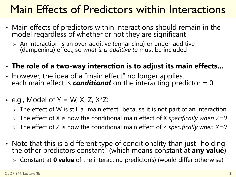#### Main Effects of Predictors within Interactions

- Main effects of predictors within interactions should remain in the model regardless of whether or not they are significant
	- $\triangleright$  An interaction is an over-additive (enhancing) or under-additive (dampening) effect, so *what it is additive to* must be included
- **The role of a two-way interaction is to adjust its main effects…**
- However, the idea of a "main effect" no longer applies… each main effect is *conditional* on the interacting predictor = 0
- e.g., Model of  $Y = W$ , X, Z,  $X^*Z$ :
	- $\ge$  The effect of W is still a "main effect" because it is not part of an interaction
	- The effect of X is now the conditional main effect of X *specifically when Z=0*
	- The effect of Z is now the conditional main effect of Z *specifically when X=0*
- Note that this is a different type of conditionality than just "holding the other predictors constant" (which means constant at **any value**)
	- Constant at **0 value** of the interacting predictor(s) (would differ otherwise)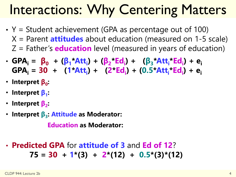### Interactions: Why Centering Matters

- $Y =$  Student achievement (GPA as percentage out of 100) X = Parent **attitudes** about education (measured on 1-5 scale) Z = Father's **education** level (measured in years of education)
- GPA<sub>i</sub> = β<sub>0</sub> + (β<sub>1</sub>\*Att<sub>i</sub>) + (β<sub>2</sub>\*Ed<sub>i</sub>) + (β<sub>3</sub>\*Att<sub>i</sub>\*Ed<sub>i</sub>) + e<sub>i</sub> **GPA<sup>i</sup> = 30 + (1\*Att<sup>i</sup> ) + (2\*Ed<sup>i</sup> ) + (0.5\*Att<sup>i</sup> \*Ed<sup>i</sup> ) + e<sup>i</sup>**
- **Interpret β<sup>0</sup> :**
- **Interpret β<sup>1</sup> :**
- **Interpret β<sup>2</sup> :**
- **Interpret β<sup>3</sup> : Attitude as Moderator:**

**Education as Moderator:**

• **Predicted GPA** for **attitude of 3** and **Ed of 12**? **75 = 30 + 1\*(3) + 2\*(12) + 0.5\*(3)\*(12)**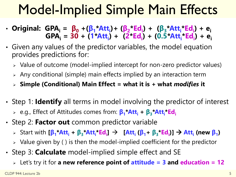### Model-Implied Simple Main Effects

- · Original: GPA<sub>i</sub> = β<sub>0</sub> +(β<sub>1</sub>\*Att<sub>i</sub>)+ (β<sub>2</sub>\*Ed<sub>i</sub>) + (β<sub>3</sub>\*Att<sub>i</sub>\*Ed<sub>i</sub>) + e<sub>i</sub>  $GPA_i = 30 + (1 \cdot At_i) + (2 \cdot Ed_i) + (0.5 \cdot Att_i \cdot Ed_i) + e_i$
- Given any values of the predictor variables, the model equation provides predictions for:
	- Value of outcome (model-implied intercept for non-zero predictor values)
	- Any conditional (simple) main effects implied by an interaction term
	- **Simple (Conditional) Main Effect = what it is + what** *modifies* **it**
- Step 1: **Identify** all terms in model involving the predictor of interest e.g., Effect of Attitudes comes from: **β<sup>1</sup> \*Att<sup>i</sup> + β<sup>3</sup> \*Att<sup>i</sup> \*Ed<sup>i</sup>**
- Step 2: **Factor out** common predictor variable
	- > Start with [β<sub>1</sub>\*Att<sub>i</sub> + β<sub>3</sub>\*Att<sub>i</sub>\*Ed<sub>i</sub>] → [Att<sub>i</sub> (β<sub>1</sub>+ β<sub>3</sub>\*Ed<sub>i</sub>)] → Att<sub>i</sub> (new β<sub>1</sub>)
	- $\triangleright$  Value given by () is then the model-implied coefficient for the predictor
- Step 3: **Calculate** model-implied simple effect and SE
	- Let's try it for **a new reference point of attitude = 3 and education = 12**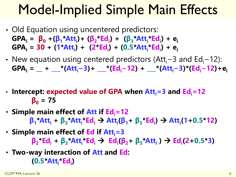#### Model-Implied Simple Main Effects

- Old Equation using uncentered predictors: GPA<sub>i</sub> =  $\beta_0$  +( $\beta_1$ \*Att<sub>i</sub>)+ ( $\beta_2$ \*Ed<sub>i</sub>) + ( $\beta_3$ \*Att<sub>i</sub>\*Ed<sub>i</sub>) + e<sub>i</sub> **GPA<sup>i</sup> = 30 + (1\*Att<sup>i</sup> ) + (2\*Ed<sup>i</sup> ) + (0.5\*Att<sup>i</sup> \*Ed<sup>i</sup> ) + e<sup>i</sup>**
- New equation using centered predictors (Att<sub>i</sub>−3 and Ed<sub>i</sub>−12):  $GPA_i =$  **+**  $\_\_\_*(Att_i-3) + \_\_\_*(Ed_i-12) + \_\_\_*(Att_i-3)^*(Ed_i-12) + e_i$
- **Intercept: expected value of GPA when Atti=3 and Edi=12**  $\beta_0 = 75$
- **Simple main effect of Att if Edi=12**  $\beta_1$ \*Att<sub>i</sub> +  $\beta_3$ \*Att<sub>i</sub>\*Ed<sub>i</sub> → Att<sub>i</sub>( $\beta_1$ +  $\beta_3$ \*Ed<sub>i</sub>) → Att<sub>i</sub>(1+0.5\*12)
- **Simple main effect of Ed if Atti=3**  $\beta_2$  Ed<sub>i</sub> +  $\beta_3$  \*Att<sub>i</sub> \*Ed<sub>i</sub>  $\rightarrow$  Ed<sub>i</sub>( $\beta_2$  +  $\beta_3$  \*Att<sub>i</sub>)  $\rightarrow$  Ed<sub>i</sub>(2+0.5 \*3)
- **Two-way interaction of Att and Ed: (0.5\*Att<sup>i</sup> \*Ed<sup>i</sup> )**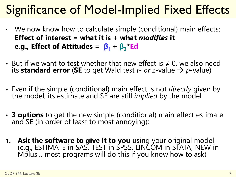#### Significance of Model-Implied Fixed Effects

- We now know how to calculate simple (conditional) main effects: **Effect of interest = what it is + what** *modifies* **it e.g., Effect of Attitudes =**  $\beta_1 + \beta_3$ **\*Ed**
- But if we want to test whether that new effect is  $\neq 0$ , we also need its **standard error** (SE to get Wald test *t- or z-value*  $\rightarrow$  *p-value*)
- Even if the simple (conditional) main effect is not *directly* given by the model, its estimate and SE are still *implied* by the model
- **3 options** to get the new simple (conditional) main effect estimate and SE (in order of least to most annoying):
- **1. Ask the software to give it to you** using your original model (e.g., ESTIMATE in SAS, TEST in SPSS, LINCOM in STATA, NEW in Mplus... most programs will do this if you know how to ask)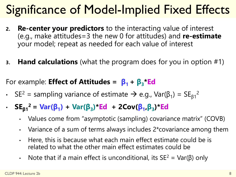#### Significance of Model-Implied Fixed Effects

- **2. Re-center your predictors** to the interacting value of interest (e.g., make attitudes=3 the new 0 for attitudes) and **re-estimate** your model; repeat as needed for each value of interest
- **3. Hand calculations** (what the program does for you in option #1)

For example: **Effect of Attitudes = β1 + β<sup>3</sup> \*Ed**

- SE<sup>2</sup> = sampling variance of estimate  $\rightarrow$  e.g., Var(β<sub>1</sub>) = SE<sub>β1</sub><sup>2</sup>
- **SEβ<sup>1</sup> <sup>2</sup> = Var(β<sup>1</sup> ) + Var(β<sup>3</sup> )\*Ed + 2Cov(β<sup>1</sup> ,β<sup>3</sup> )\*Ed**
	- Values come from "asymptotic (sampling) covariance matrix" (COVB)
	- Variance of a sum of terms always includes 2\*covariance among them
	- Here, this is because what each main effect estimate could be is related to what the other main effect estimates could be
	- Note that if a main effect is unconditional, its  $SE^2 = Var(\beta)$  only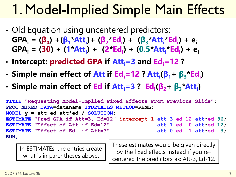### 1. Model-Implied Simple Main Effects

- Old Equation using uncentered predictors: GPA<sub>i</sub> =  $(\beta_0)$  +( $\beta_1$ \*Att<sub>i</sub>)+ ( $\beta_2$ \*Ed<sub>i</sub>) + ( $\beta_3$ \*Att<sub>i</sub>\*Ed<sub>i</sub>) + e<sub>i</sub> **GPA<sup>i</sup> = (30) + (1\*Att<sup>i</sup> ) + (2\*Ed<sup>i</sup> ) + (0.5\*Att<sup>i</sup> \*Ed<sup>i</sup> ) + e<sup>i</sup>**
- **Intercept: predicted GPA if Atti=3 and Edi=12 ?**
- **Simple main effect of Att if Edi=12 ? Att<sup>i</sup> (β1+ β<sup>3</sup> \*Ed<sup>i</sup> )**
- **Simple main effect of Ed if Atti=3 ? Ed<sup>i</sup> (β2+ β<sup>3</sup> \*Att<sup>i</sup> )**

```
TITLE "Requesting Model-Implied Fixed Effects From Previous Slide";
PROC MIXED DATA=dataname ITDETAILS METHOD=REML;
MODEL y = att ed att*ed / SOLUTION;
ESTIMATE "Pred GPA if Att=3, Ed=12" intercept 1 att 3 ed 12 att*ed 36;
ESTIMATE "Effect of Att if Ed=12" att 1 ed 0 att*ed 12;
ESTIMATE "Effect of Ed if Att=3" att 0 ed 1 att*ed 3;
RUN;
```
In ESTIMATEs, the entries create what is in parentheses above.

These estimates would be given directly by the fixed effects instead if you recentered the predictors as: Att-3, Ed-12.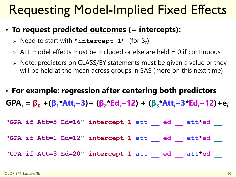#### Requesting Model-Implied Fixed Effects

#### • **To request predicted outcomes (= intercepts):**

- $\triangleright$  Need to start with "intercept 1" (for  $\beta_0$ )
- $\ge$  ALL model effects must be included or else are held = 0 if continuous
- $\triangleright$  Note: predictors on CLASS/BY statements must be given a value or they will be held at the mean across groups in SAS (more on this next time)
- **For example: regression after centering both predictors** GPA<sub>i</sub> =  $\beta_0$  +( $\beta_1$ \*Att<sub>i</sub>-3)+ ( $\beta_2$ \*Ed<sub>i</sub>-12) + ( $\beta_3$ \*Att<sub>i</sub>-3\*Ed<sub>i</sub>-12)+e<sub>i</sub>

**"GPA if Att=5 Ed=16" intercept 1 att \_\_ ed \_\_ att\*ed \_\_ "GPA if Att=1 Ed=12" intercept 1 att \_\_ ed \_\_ att\*ed \_\_ "GPA if Att=3 Ed=20" intercept 1 att \_\_ ed \_\_ att\*ed \_\_**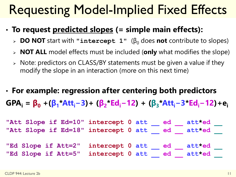#### Requesting Model-Implied Fixed Effects

- **To request predicted slopes (= simple main effects):**
	- **DO NOT** start with "intercept 1" (β<sub>0</sub> does not contribute to slopes)
	- **NOT ALL** model effects must be included (**only** what modifies the slope)
	- $\triangleright$  Note: predictors on CLASS/BY statements must be given a value if they modify the slope in an interaction (more on this next time)
- **For example: regression after centering both predictors** GPA<sub>i</sub> =  $\beta_0$  +( $\beta_1$ \*Att<sub>i</sub>-3)+ ( $\beta_2$ \*Ed<sub>i</sub>-12) + ( $\beta_3$ \*Att<sub>i</sub>-3\*Ed<sub>i</sub>-12)+e<sub>i</sub>

**"Att Slope if Ed=10" intercept 0 att \_\_ ed \_\_ att\*ed \_\_ "Att Slope if Ed=18" intercept 0 att \_\_ ed \_\_ att\*ed \_\_ "Ed Slope if Att=2" intercept 0 att \_\_ ed \_\_ att\*ed \_\_ "Ed Slope if Att=5" intercept 0 att \_\_ ed \_\_ att\*ed \_\_**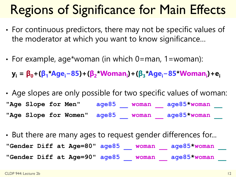#### Regions of Significance for Main Effects

- For continuous predictors, there may not be specific values of the moderator at which you want to know significance…
- For example, age\*woman (in which 0=man, 1=woman):

y<sub>i</sub> = β<sub>0</sub>+(β<sub>1</sub>\*Age<sub>i</sub>–85)+(β<sub>2</sub>\*Woman<sub>i</sub>)+(β<sub>3</sub>\*Age<sub>i</sub>–85\*Woman<sub>i</sub>)+e<sub>i</sub>

- Age slopes are only possible for two specific values of woman: **"Age Slope for Men" age85 \_\_ woman \_\_ age85\*woman \_\_ "Age Slope for Women" age85 \_\_ woman \_\_ age85\*woman \_\_**
- But there are many ages to request gender differences for... **"Gender Diff at Age=80" age85 \_\_ woman \_\_ age85\*woman \_\_ "Gender Diff at Age=90" age85 \_\_ woman \_\_ age85\*woman \_\_**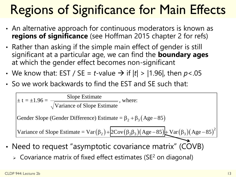# Regions of Significance for Main Effects

- An alternative approach for continuous moderators is known as **regions of significance** (see Hoffman 2015 chapter 2 for refs)
- Rather than asking if the simple main effect of gender is still significant at a particular age, we can find the **boundary ages** at which the gender effect becomes non-significant
- We know that: EST / SE = *t*-value  $\rightarrow$  if  $|t|$  >  $|1.96|$ , then *p* <.05
- So we work backwards to find the EST and SE such that:

**legions of Significance for Main Effects**\nIn alternative approach for continuous modernators is known as

\negions of significance (see Hoffman 2015 chapter 2 for refs)

\nrather than asking if the simple main effect of gender is still  
\nignificant at a particular age, we can find the boundary ages

\nto know that: EST / SE = t-value 
$$
\rightarrow
$$
 if  $|t| > |1.96|$ , then  $p < .05$ 

\ndo we work backwards to find the EST and SE such that:

\n $\pm t = \pm 1.96 = \frac{\text{Slope Estimate}}{\sqrt{\text{Variance of Slope Estimate}}}$ , where:

\nGender Slope (Gender Difference) Estimate =  $\beta_2 + \beta_3 (\text{Age} - 85)$ 

\nVariance of Slope Estimate =  $\text{Var}(\beta_2) + \boxed{2\text{Cov}(\beta_2\beta_3)(\text{Age} - 85)} + \text{Var}(\beta_3)(\text{Age} - 85)^2}$ 

\nNeed to request "asymptotic covariance matrix" (COVB)

\nCovariance matrix of fixed effect estimates (SE<sup>2</sup> on diagonal)

\n**944. Lecure 2b**

- Need to request "asymptotic covariance matrix" (COVB)
	- $\geq$  Covariance matrix of fixed effect estimates (SE<sup>2</sup> on diagonal)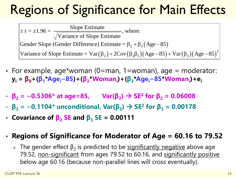#### Regions of Significance for Main Effects

Gender Slope (Gender Difference) Estimate =  $\beta_2 + \beta_3$  (Age – 85)  $(\beta_2)$  + 2Cov  $(\beta_2\beta_3)$  (Age – 85) + Var  $(\beta_3)$  (Age – 85)<sup>2</sup> **e for**<br>
nere:<br>  $\frac{1}{2} + \beta_3 (Age - \beta_3) (Age - \beta_3)$ <br> **Example 18**<br> **Example 18**<br> **Example 18**<br> **Example 18** Cance for Main Eff<br>
<br>  $\frac{1}{\text{estimate}}$ , where:<br>  $\text{estimate} = \beta_2 + \beta_3 (\text{Age}-85)$ <br>  $\frac{1}{2}$ )+2Cov( $\beta_2\beta_3$ )(Age-85)+Var( $\beta_3$ )(Age<br>  $\cdot$ man, 1=woman), age = modera<br>
man<sub>i</sub>)+( $\beta_3$ \*Age<sub>i</sub>-85\*Woman<sub>i</sub>)+e<sub>i</sub><br>
Var( $\beta_2$ ) → SE<sup>2</sup> fo  $\pm t = \pm 1.96 = \frac{\text{Slope Estimate}}{\text{Slope Estimate}}, \text{where:}$ Variance of Slope Estimate **egions of Significance for Main**<br>  $\frac{1}{2}t = \pm 1.96 = \frac{\text{Slope Estimate}}{\sqrt{\text{Variance of Slope Estimate}}}, \text{where:}$ <br>
Gender Slope (Gender Difference) Estimate =  $\beta_2 + \beta_3(Age-85)$ <br>
Variance of Slope Estimate =  $\text{Var}(\beta_2) + 2\text{Cov}(\beta_2\beta_3)(Age-85) + \text{Var}(\beta_3$ **Example 31 Solution Solution School School School School States (Nation School School School School School School School School School School School School School School School School School School Age 85)<br>
Variance of S Comptet Example 10**<br>
Where:<br>  $\beta_2 + \beta_3(Age-85)$ <br>  $(\beta_2\beta_3)(Age-85)+Var(\beta_3)(Age-85)^2$ <br>  $= woman), age = moderate:$ <br>  $\beta_3*Age_i-85*Woman_i)+e_i$ <br>  $\rightarrow SE^2 for \beta_2 = 0.06008$ <br>  $\rightarrow SE^2 for \beta_3 = 0.00178$ <br>
11 icance for Main Effects<br>
Estimate , where:<br>
Estimate =  $\beta_2 + \beta_3(Age-85)$ <br>  $\beta_2$ ) + 2Cov( $\beta_2\beta_3$ )(Age-85) + Var( $\beta_3$ )(Age-85)<sup>2</sup><br>
= man, 1=woman), age = moderator:<br> **Dinan**<sub>i</sub>) + ( $\beta_3$ \*Age<sub>i</sub>-85\*Woman<sub>i</sub>) + e<sub>i</sub><br>
V

- For example, age\*woman (0=man, 1=woman), age = moderator: y<sub>i</sub> = β<sub>0</sub>+(β<sub>1</sub>\*Age<sub>i</sub>-85)+(β<sub>2</sub>\*Woman<sub>i</sub>)+(β<sub>3</sub>\*Age<sub>i</sub>-85\*Woman<sub>i</sub>)+e<sub>i</sub>
- **β<sup>2</sup> = −0.5306\* at age=85, Var(β<sup>2</sup> ) SE<sup>2</sup> for β<sup>2</sup> = 0.06008**
- $\cdot$  β<sub>3</sub> = −0.1104\* unconditional, Var(β<sub>3</sub>)  $\rightarrow$  SE<sup>2</sup> for β<sub>3</sub> = 0.00178
- **Covariance of β<sup>2</sup> SE and β<sup>3</sup> SE = 0.00111**

#### • **Regions of Significance for Moderator of Age = 60.16 to 79.52**

> The gender effect  $β_2$  is predicted to be significantly negative above age 79.52, non-significant from ages 79.52 to 60.16, and significantly positive below age 60.16 (because non-parallel lines will cross eventually).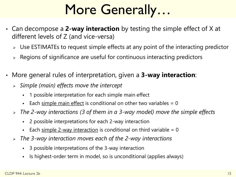# More Generally…

- Can decompose a **2-way interaction** by testing the simple effect of X at different levels of Z (and vice-versa)
	- Use ESTIMATEs to request simple effects at any point of the interacting predictor
	- $\geq$  Regions of significance are useful for continuous interacting predictors
- More general rules of interpretation, given a **3-way interaction**:
	- *Simple (main) effects move the intercept*
		- 1 possible interpretation for each simple main effect
		- Each simple main effect is conditional on other two variables  $= 0$
	- *The 2-way interactions (3 of them in a 3-way model) move the simple effects*
		- 2 possible interpretations for each 2-way interaction
		- Each simple 2-way interaction is conditional on third variable  $= 0$
	- *The 3-way interaction moves each of the 2-way interactions*
		- 3 possible interpretations of the 3-way interaction
		- Is highest-order term in model, so is unconditional (applies always)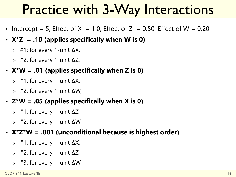#### Practice with 3-Way Interactions

- Intercept = 5, Effect of  $X = 1.0$ , Effect of  $Z = 0.50$ , Effect of W = 0.20
- **X\*Z = .10 (applies specifically when W is 0)**
	- $\frac{1}{2}$  #1: for every 1-unit  $\Delta X$ ,
	- $\frac{1}{2}$  #2: for every 1-unit ΔZ,
- **X\*W = .01 (applies specifically when Z is 0)**
	- $\frac{1}{2}$  #1: for every 1-unit  $\Delta X$ ,
	- $\Rightarrow$  #2: for every 1-unit  $\Delta W$ ,
- **Z\*W = .05 (applies specifically when X is 0)**
	- $\triangleright$  #1: for every 1-unit  $\Delta Z$ ,
	- $\frac{1}{2}$  #2: for every 1-unit  $\Delta W$ ,

#### • **X\*Z\*W = .001 (unconditional because is highest order)**

- $\frac{1}{2}$  #1: for every 1-unit  $\Delta X$ ,
- $\frac{1}{2}$  #2: for every 1-unit  $\Delta Z$ ,
- $\triangleright$  #3: for every 1-unit  $\Delta W$ ,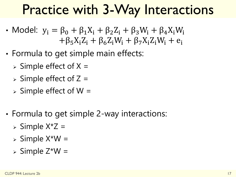#### Practice with 3-Way Interactions

- Model:  $y_i = \beta_0 + \beta_1 X_i + \beta_2 Z_i + \beta_3 W_i + \beta_4 X_i W_i$  $+\beta_5X_iZ_i + \beta_6Z_iW_i + \beta_7X_iZ_iW_i + e_i$
- Formula to get simple main effects:
	- $\triangleright$  Simple effect of X =
	- $\triangleright$  Simple effect of Z =
	- $\triangleright$  Simple effect of W =
- Formula to get simple 2-way interactions:
	- $\triangleright$  Simple X\*Z =
	- $\triangleright$  Simple X\*W =
	- $\triangleright$  Simple Z\*W =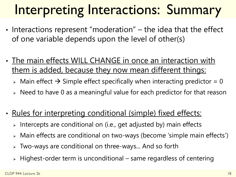# Interpreting Interactions: Summary

- Interactions represent "moderation" the idea that the effect of one variable depends upon the level of other(s)
- The main effects WILL CHANGE in once an interaction with them is added, because they now mean different things:
	- $\geq$  Main effect  $\rightarrow$  Simple effect specifically when interacting predictor = 0
	- $\triangleright$  Need to have 0 as a meaningful value for each predictor for that reason
- Rules for interpreting conditional (simple) fixed effects:
	- Intercepts are conditional on (i.e., get adjusted by) main effects
	- Main effects are conditional on two-ways (become 'simple main effects')
	- Two-ways are conditional on three-ways... And so forth
	- $\triangleright$  Highest-order term is unconditional same regardless of centering